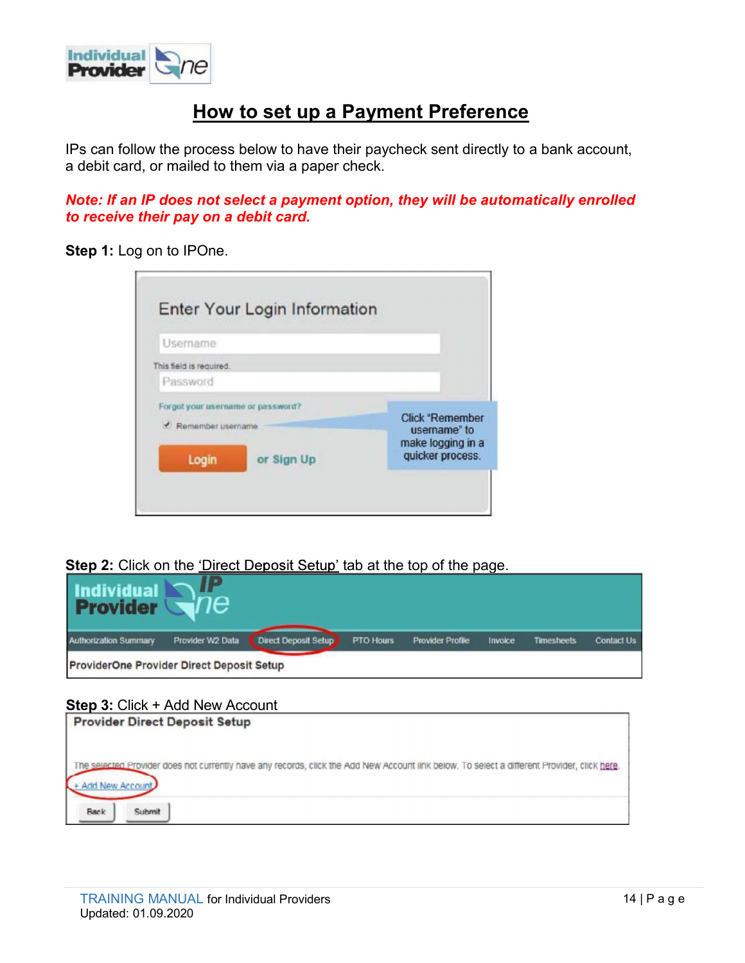

# How to set up a Payment Preference

IPs can follow the process below to have their paycheck sent directly to a bank account, a debit card, or mailed to them via a paper check.

# Note: If an IP does not select a payment option, they will be automatically enrolled to receive their pay on a debit card.

Step 1: Log on to IPOne.

| Username                          |            |                                        |
|-----------------------------------|------------|----------------------------------------|
| This field is required.           |            |                                        |
| Password                          |            |                                        |
| Forgot your username or password? |            |                                        |
| <b>C</b> Remember username        |            | <b>Click "Remember</b><br>username" to |
| Login                             | or Sign Up | make logging in a<br>quicker process.  |

Step 2: Click on the 'Direct Deposit Setup' tab at the top of the page.



# Step 3: Click + Add New Account

| <b>Provider Direct Deposit Setup</b>                                                                                                                            |
|-----------------------------------------------------------------------------------------------------------------------------------------------------------------|
| The selected Provider does not currently have any records, click the Add New Account link below. To select a different Provider, click here.<br>Add New Account |
| Back<br>Submit                                                                                                                                                  |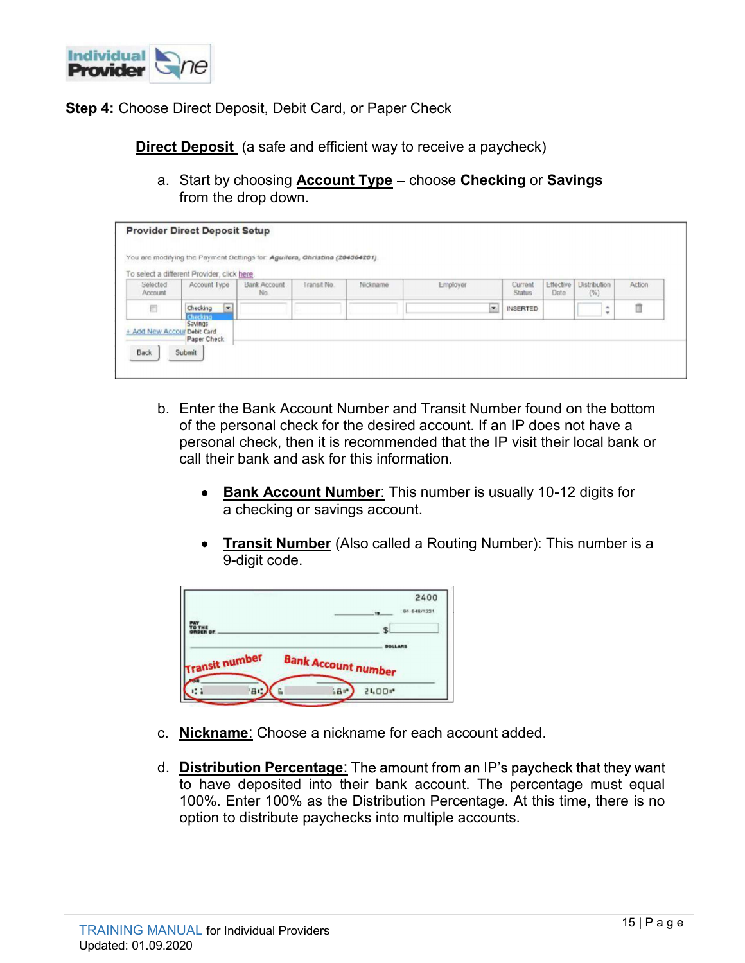

Step 4: Choose Direct Deposit, Debit Card, or Paper Check

| Choose Direct Deposit, Debit Card, or Paper Check<br><b>Direct Deposit</b> (a safe and efficient way to receive a paycheck)<br>a. Start by choosing <b>Account Type</b> - choose Checking or Savings<br>from the drop down.<br><b>Provider Direct Deposit Setup</b><br>You are modifying the Payment Settings for Aguilera, Christina (204364201)<br>Selected<br>Effective<br>Distribution<br>Account Type<br><b>Bank Account</b><br>Transit No.<br>Nickname<br>Employer<br>Current<br>Action<br>Account<br>Status<br>Date<br>No.<br>(% )<br>面<br>$\overline{\phantom{a}}$<br>同<br>Checking -<br><b>INSERTED</b><br>$\div$<br>Checking<br>Savings |      |  |  |  |  |  |
|---------------------------------------------------------------------------------------------------------------------------------------------------------------------------------------------------------------------------------------------------------------------------------------------------------------------------------------------------------------------------------------------------------------------------------------------------------------------------------------------------------------------------------------------------------------------------------------------------------------------------------------------------|------|--|--|--|--|--|
|                                                                                                                                                                                                                                                                                                                                                                                                                                                                                                                                                                                                                                                   |      |  |  |  |  |  |
|                                                                                                                                                                                                                                                                                                                                                                                                                                                                                                                                                                                                                                                   |      |  |  |  |  |  |
|                                                                                                                                                                                                                                                                                                                                                                                                                                                                                                                                                                                                                                                   |      |  |  |  |  |  |
|                                                                                                                                                                                                                                                                                                                                                                                                                                                                                                                                                                                                                                                   |      |  |  |  |  |  |
|                                                                                                                                                                                                                                                                                                                                                                                                                                                                                                                                                                                                                                                   |      |  |  |  |  |  |
|                                                                                                                                                                                                                                                                                                                                                                                                                                                                                                                                                                                                                                                   |      |  |  |  |  |  |
|                                                                                                                                                                                                                                                                                                                                                                                                                                                                                                                                                                                                                                                   |      |  |  |  |  |  |
|                                                                                                                                                                                                                                                                                                                                                                                                                                                                                                                                                                                                                                                   |      |  |  |  |  |  |
|                                                                                                                                                                                                                                                                                                                                                                                                                                                                                                                                                                                                                                                   |      |  |  |  |  |  |
|                                                                                                                                                                                                                                                                                                                                                                                                                                                                                                                                                                                                                                                   |      |  |  |  |  |  |
|                                                                                                                                                                                                                                                                                                                                                                                                                                                                                                                                                                                                                                                   |      |  |  |  |  |  |
|                                                                                                                                                                                                                                                                                                                                                                                                                                                                                                                                                                                                                                                   |      |  |  |  |  |  |
| To select a different Provider, click here                                                                                                                                                                                                                                                                                                                                                                                                                                                                                                                                                                                                        |      |  |  |  |  |  |
|                                                                                                                                                                                                                                                                                                                                                                                                                                                                                                                                                                                                                                                   |      |  |  |  |  |  |
|                                                                                                                                                                                                                                                                                                                                                                                                                                                                                                                                                                                                                                                   |      |  |  |  |  |  |
|                                                                                                                                                                                                                                                                                                                                                                                                                                                                                                                                                                                                                                                   |      |  |  |  |  |  |
|                                                                                                                                                                                                                                                                                                                                                                                                                                                                                                                                                                                                                                                   |      |  |  |  |  |  |
|                                                                                                                                                                                                                                                                                                                                                                                                                                                                                                                                                                                                                                                   | Back |  |  |  |  |  |
| Submit                                                                                                                                                                                                                                                                                                                                                                                                                                                                                                                                                                                                                                            |      |  |  |  |  |  |
|                                                                                                                                                                                                                                                                                                                                                                                                                                                                                                                                                                                                                                                   |      |  |  |  |  |  |
|                                                                                                                                                                                                                                                                                                                                                                                                                                                                                                                                                                                                                                                   |      |  |  |  |  |  |
|                                                                                                                                                                                                                                                                                                                                                                                                                                                                                                                                                                                                                                                   |      |  |  |  |  |  |
| b. Enter the Bank Account Number and Transit Number found on the bottom                                                                                                                                                                                                                                                                                                                                                                                                                                                                                                                                                                           |      |  |  |  |  |  |
| of the personal check for the desired account. If an IP does not have a                                                                                                                                                                                                                                                                                                                                                                                                                                                                                                                                                                           |      |  |  |  |  |  |
| personal check, then it is recommended that the IP visit their local bank or<br>call their bank and ask for this information.                                                                                                                                                                                                                                                                                                                                                                                                                                                                                                                     |      |  |  |  |  |  |

- of the personal check for the desired account. If an IP does not have a personal check, then it is recommended that the IP visit their local bank or call their bank and ask for this information.
	- Bank Account Number: This number is usually 10-12 digits for a checking or savings account.
	- Transit Number (Also called a Routing Number): This number is a 9-digit code.

|                            | 2400<br>91-548/1221<br>$\mathbf{u}$ |
|----------------------------|-------------------------------------|
| PAY<br>TO THE<br>ORDER OF  | \$<br><b>DOLLARS</b>                |
| <b>Transit number</b>      | <b>Bank Account number</b>          |
| $\mathbf{m}$<br>80<br>12.1 | 51.00 <sup>a</sup><br>$5B -$<br>G   |

- c. Nickname: Choose a nickname for each account added.
- d. Distribution Percentage: The amount from an IP's paycheck that they want to have deposited into their bank account. The percentage must equal 100%. Enter 100% as the Distribution Percentage. At this time, there is no option to distribute paychecks into multiple accounts.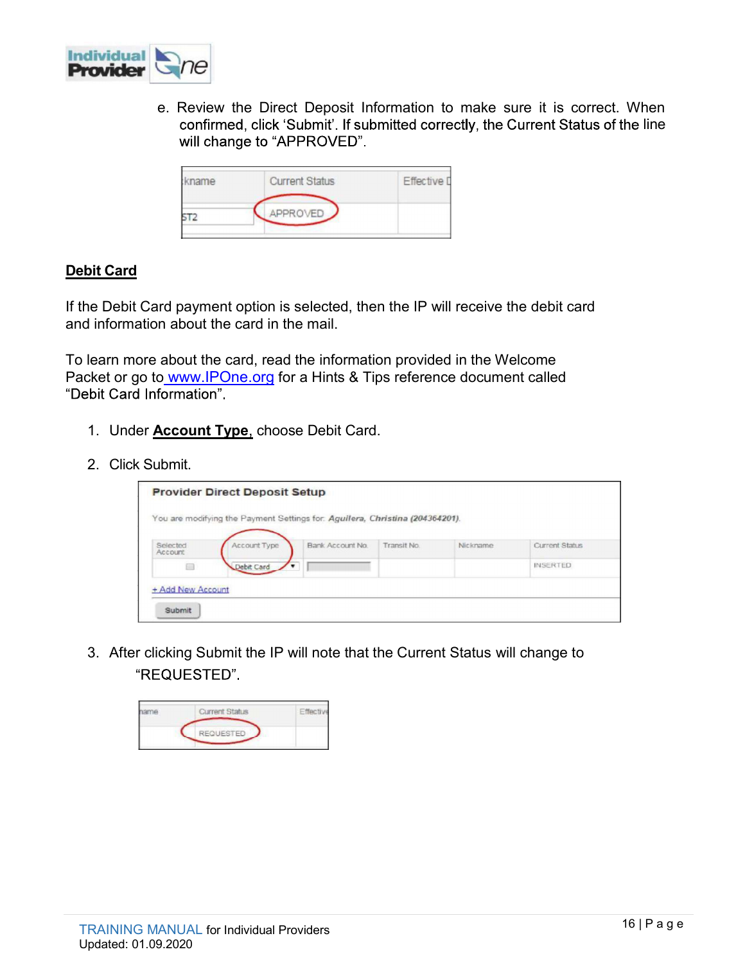

**e.** Review the Direct Deposit Information to make sure it is correct. When confirmed, click 'Submit'. If submitted correctly, the Current Status of the line will change to "APPROVED". confirmed, click 'Submit'. If submitted correctly, the Current Status of the line

| kname | <b>Current Status</b> | <b>Effective</b> [ |
|-------|-----------------------|--------------------|
|       | APPROVED              |                    |

# Debit Card

To learn more about the card, read the information provided in the Welcome **Provider**<br> **e.** Review the Direct Deposit Information to make sure it is correct. When<br>
confirmed, click 'Submitt'. If submitted correctly, the Current Status of the line<br>
will change to "APPROVED".<br>
<br> **SUBDIT Card**<br>
Fin confirmed, click 'Submit'. If submitted correctly, the<br>
will change to "APPROVED".<br>
<br> **Effective Card.**<br>
<br> **Effective Card.**<br>
<br> **Effective Card.**<br>
<br> **Dit Card.**<br>
<br> **Effective Card.**<br>
<br> **Effective Card.**<br> **Effective Card.**<br>

- 
- 

|                                            | kname                                                                                                                                               | <b>Current Status</b> |                  | Effective I |          |                       |
|--------------------------------------------|-----------------------------------------------------------------------------------------------------------------------------------------------------|-----------------------|------------------|-------------|----------|-----------------------|
|                                            | ST <sub>2</sub>                                                                                                                                     | APPROVED              |                  |             |          |                       |
|                                            |                                                                                                                                                     |                       |                  |             |          |                       |
| <u>pit Card</u>                            |                                                                                                                                                     |                       |                  |             |          |                       |
|                                            | ie Debit Card payment option is selected, then the IP will receive the debit card<br>I information about the card in the mail.                      |                       |                  |             |          |                       |
|                                            | learn more about the card, read the information provided in the Welcome<br>cket or go to www.IPOne.org for a Hints & Tips reference document called |                       |                  |             |          |                       |
|                                            |                                                                                                                                                     |                       |                  |             |          |                       |
|                                            |                                                                                                                                                     |                       |                  |             |          |                       |
|                                            | 1. Under <b>Account Type</b> , choose Debit Card.                                                                                                   |                       |                  |             |          |                       |
|                                            |                                                                                                                                                     |                       |                  |             |          |                       |
| bit Card Information".<br>2. Click Submit. | <b>Provider Direct Deposit Setup</b>                                                                                                                |                       |                  |             |          |                       |
|                                            | You are modifying the Payment Settings for: Aguilera, Christina (204364201).                                                                        |                       |                  |             |          |                       |
|                                            | Selected<br>Account                                                                                                                                 | Account Type          | Bank Account No. | Transit No. | Nickname | <b>Current Status</b> |
|                                            | ⊟                                                                                                                                                   | Debit Card            |                  |             |          | <b>INSERTED</b>       |
|                                            | + Add New Account                                                                                                                                   |                       |                  |             |          |                       |